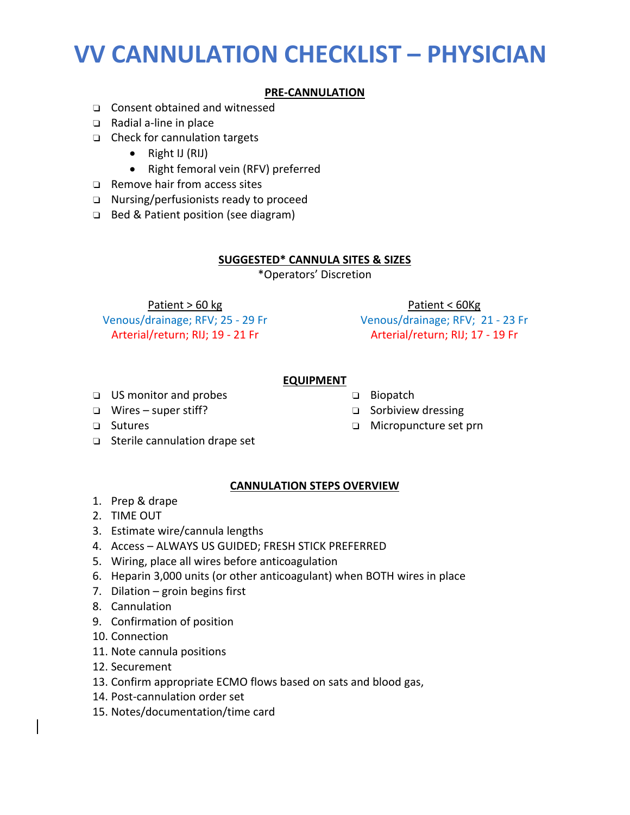### **VV CANNULATION CHECKLIST – PHYSICIAN**

### **PRE‐CANNULATION**

- ❏ Consent obtained and witnessed
- ❏ Radial a‐line in place
- ❏ Check for cannulation targets
	- Right IJ (RIJ)
	- Right femoral vein (RFV) preferred
- ❏ Remove hair from access sites
- ❏ Nursing/perfusionists ready to proceed
- ❏ Bed & Patient position (see diagram)

#### **SUGGESTED\* CANNULA SITES & SIZES**

\*Operators' Discretion

Patient > 60 kg

Venous/drainage; RFV; 25 ‐ 29 Fr Arterial/return; RIJ; 19 ‐ 21 Fr

Patient < 60Kg

Venous/drainage; RFV; 21 ‐ 23 Fr Arterial/return; RIJ; 17 ‐ 19 Fr

#### **EQUIPMENT**

❏ US monitor and probes

❏ Wires – super stiff?

- ❏ Biopatch
- ❏ Sorbiview dressing
	- ❏ Micropuncture set prn
- ❏ Sutures
- ❏ Sterile cannulation drape set

### **CANNULATION STEPS OVERVIEW**

- 1. Prep & drape
- 2. TIME OUT
- 3. Estimate wire/cannula lengths
- 4. Access ALWAYS US GUIDED; FRESH STICK PREFERRED
- 5. Wiring, place all wires before anticoagulation
- 6. Heparin 3,000 units (or other anticoagulant) when BOTH wires in place
- 7. Dilation groin begins first
- 8. Cannulation
- 9. Confirmation of position
- 10. Connection
- 11. Note cannula positions
- 12. Securement
- 13. Confirm appropriate ECMO flows based on sats and blood gas,
- 14. Post‐cannulation order set
- 15. Notes/documentation/time card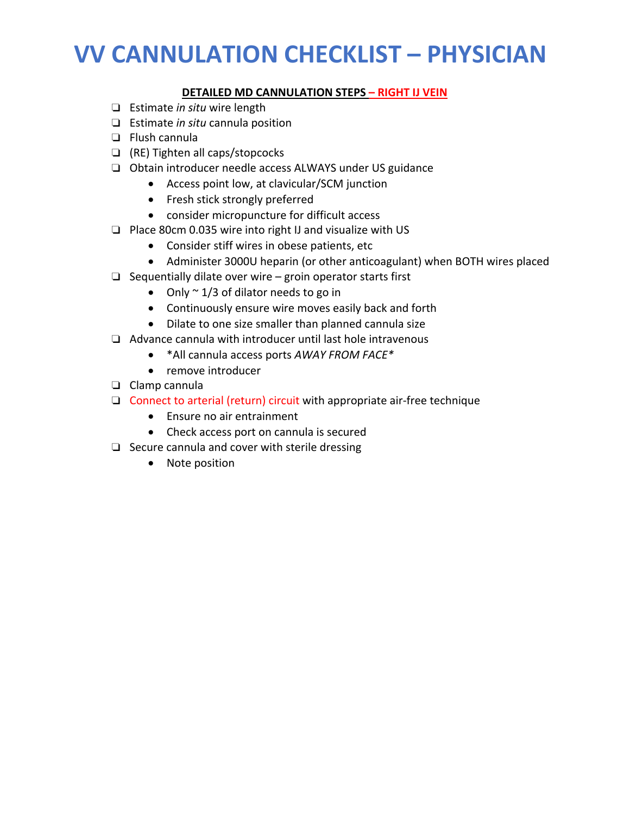# **VV CANNULATION CHECKLIST – PHYSICIAN**

### **DETAILED MD CANNULATION STEPS – RIGHT IJ VEIN**

- ❏ Estimate *in situ* wire length
- ❏ Estimate *in situ* cannula position
- ❏ Flush cannula
- ❏ (RE) Tighten all caps/stopcocks
- ❏ Obtain introducer needle access ALWAYS under US guidance
	- Access point low, at clavicular/SCM junction
		- Fresh stick strongly preferred
	- consider micropuncture for difficult access
- ❏ Place 80cm 0.035 wire into right IJ and visualize with US
	- Consider stiff wires in obese patients, etc
	- Administer 3000U heparin (or other anticoagulant) when BOTH wires placed
- ❏ Sequentially dilate over wire groin operator starts first
	- Only  $\sim$  1/3 of dilator needs to go in
	- Continuously ensure wire moves easily back and forth
	- Dilate to one size smaller than planned cannula size
- ❏ Advance cannula with introducer until last hole intravenous
	- \*All cannula access ports *AWAY FROM FACE\**
	- remove introducer
- ❏ Clamp cannula
- ❏ Connect to arterial (return) circuit with appropriate air‐free technique
	- Ensure no air entrainment
	- Check access port on cannula is secured
- ❏ Secure cannula and cover with sterile dressing
	- Note position